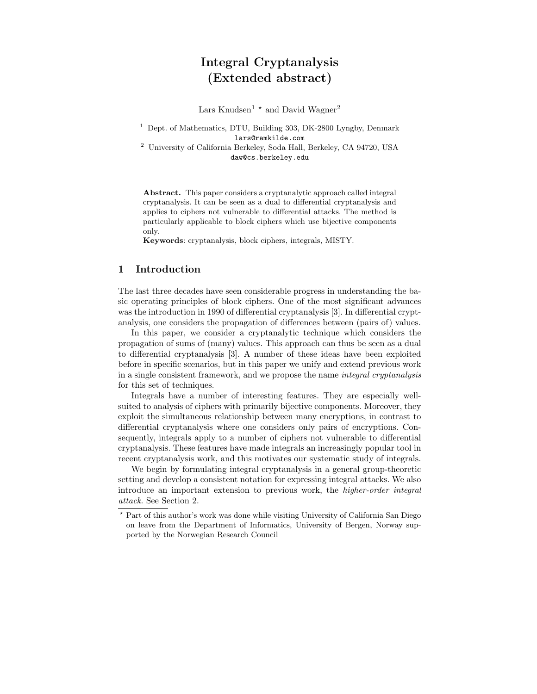# Integral Cryptanalysis (Extended abstract)

Lars Knudsen<sup>1</sup>  $\star$  and David Wagner<sup>2</sup>

<sup>1</sup> Dept. of Mathematics, DTU, Building 303, DK-2800 Lyngby, Denmark lars@ramkilde.com

<sup>2</sup> University of California Berkeley, Soda Hall, Berkeley, CA 94720, USA daw@cs.berkeley.edu

Abstract. This paper considers a cryptanalytic approach called integral cryptanalysis. It can be seen as a dual to differential cryptanalysis and applies to ciphers not vulnerable to differential attacks. The method is particularly applicable to block ciphers which use bijective components only.

Keywords: cryptanalysis, block ciphers, integrals, MISTY.

# 1 Introduction

The last three decades have seen considerable progress in understanding the basic operating principles of block ciphers. One of the most significant advances was the introduction in 1990 of differential cryptanalysis [3]. In differential cryptanalysis, one considers the propagation of differences between (pairs of) values.

In this paper, we consider a cryptanalytic technique which considers the propagation of sums of (many) values. This approach can thus be seen as a dual to differential cryptanalysis [3]. A number of these ideas have been exploited before in specific scenarios, but in this paper we unify and extend previous work in a single consistent framework, and we propose the name integral cryptanalysis for this set of techniques.

Integrals have a number of interesting features. They are especially wellsuited to analysis of ciphers with primarily bijective components. Moreover, they exploit the simultaneous relationship between many encryptions, in contrast to differential cryptanalysis where one considers only pairs of encryptions. Consequently, integrals apply to a number of ciphers not vulnerable to differential cryptanalysis. These features have made integrals an increasingly popular tool in recent cryptanalysis work, and this motivates our systematic study of integrals.

We begin by formulating integral cryptanalysis in a general group-theoretic setting and develop a consistent notation for expressing integral attacks. We also introduce an important extension to previous work, the higher-order integral attack. See Section 2.

<sup>?</sup> Part of this author's work was done while visiting University of California San Diego on leave from the Department of Informatics, University of Bergen, Norway supported by the Norwegian Research Council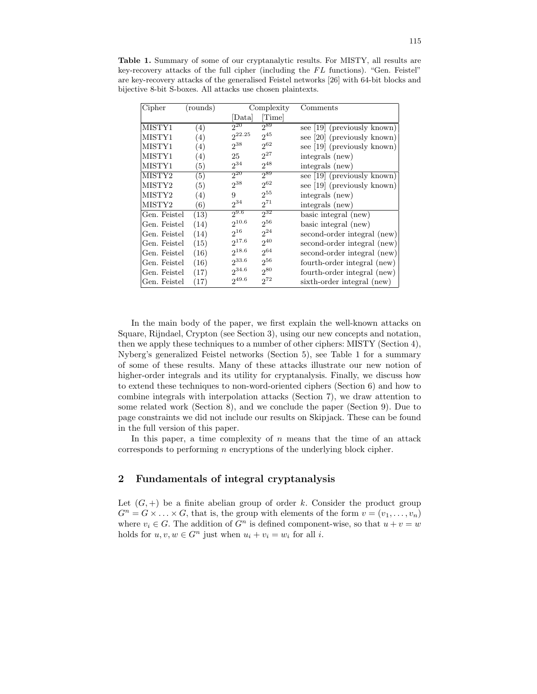Table 1. Summary of some of our cryptanalytic results. For MISTY, all results are key-recovery attacks of the full cipher (including the FL functions). "Gen. Feistel" are key-recovery attacks of the generalised Feistel networks [26] with 64-bit blocks and bijective 8-bit S-boxes. All attacks use chosen plaintexts.

| Cipher       | (rounds)          |             | Complexity | Comments                    |
|--------------|-------------------|-------------|------------|-----------------------------|
|              |                   | Data        | [Time]     |                             |
| MISTY1       | (4)               | $2^{20}$    | 289        | see [19] (previously known) |
| MISTY1       | (4)               | $2^{22.25}$ | $2^{45}$   | see [20] (previously known) |
| MISTY1       | (4)               | $2^{38}$    | $2^{62}$   | see [19] (previously known) |
| MISTY1       | $\left( 4\right)$ | 25          | $2^{27}$   | integrals (new)             |
| MISTY1       | (5)               | $2^{34}$    | $2^{48}$   | integrals (new)             |
| MISTY2       | (5)               | $2^{20}$    | $2^{89}$   | see [19] (previously known) |
| MISTY2       | (5)               | $2^{38}$    | $2^{62}$   | see [19] (previously known) |
| MISTY2       | (4)               | 9           | $2^{55}$   | integrals (new)             |
| MISTY2       | $\left( 6\right)$ | $2^{34}$    | $2^{71}$   | integrals (new)             |
| Gen. Feistel | (13)              | $2^{9.6}$   | 232        | basic integral (new)        |
| Gen. Feistel | (14)              | $2^{10.6}$  | $2^{56}$   | basic integral (new)        |
| Gen. Feistel | (14)              | $2^{16}$    | $2^{24}$   | second-order integral (new) |
| Gen. Feistel | (15)              | $2^{17.6}$  | $2^{40}$   | second-order integral (new) |
| Gen. Feistel | (16)              | $2^{18.6}$  | $2^{64}$   | second-order integral (new) |
| Gen. Feistel | (16)              | $2^{33.6}$  | $2^{56}$   | fourth-order integral (new) |
| Gen. Feistel | (17)              | $2^{34.6}$  | $2^{80}$   | fourth-order integral (new) |
| Gen. Feistel | (17)              | $2^{49.6}$  | $2^{72}$   | sixth-order integral (new)  |

In the main body of the paper, we first explain the well-known attacks on Square, Rijndael, Crypton (see Section 3), using our new concepts and notation, then we apply these techniques to a number of other ciphers: MISTY (Section 4), Nyberg's generalized Feistel networks (Section 5), see Table 1 for a summary of some of these results. Many of these attacks illustrate our new notion of higher-order integrals and its utility for cryptanalysis. Finally, we discuss how to extend these techniques to non-word-oriented ciphers (Section 6) and how to combine integrals with interpolation attacks (Section 7), we draw attention to some related work (Section 8), and we conclude the paper (Section 9). Due to page constraints we did not include our results on Skipjack. These can be found in the full version of this paper.

In this paper, a time complexity of  $n$  means that the time of an attack corresponds to performing n encryptions of the underlying block cipher.

# 2 Fundamentals of integral cryptanalysis

Let  $(G, +)$  be a finite abelian group of order k. Consider the product group  $G^n = G \times \ldots \times G$ , that is, the group with elements of the form  $v = (v_1, \ldots, v_n)$ where  $v_i \in G$ . The addition of  $G^n$  is defined component-wise, so that  $u + v = w$ holds for  $u, v, w \in G^n$  just when  $u_i + v_i = w_i$  for all *i*.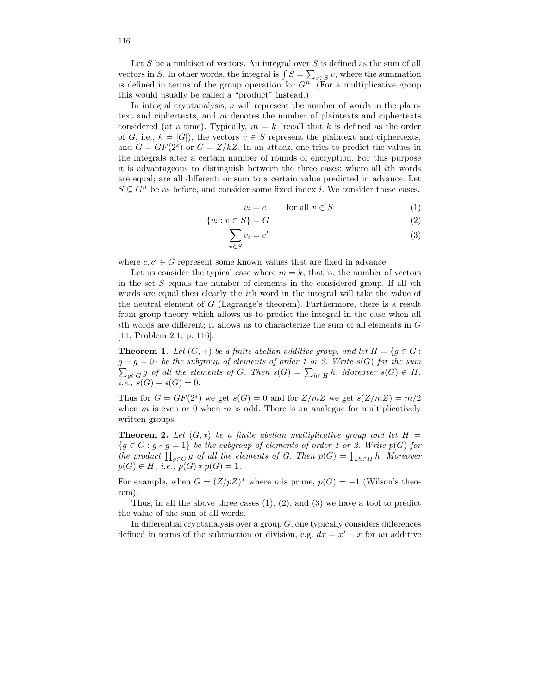Let S be a multiset of vectors. An integral over S is defined as the sum of all vectors in S. In other words, the integral is  $\int S = \sum_{v \in S} v$ , where the summation is defined in terms of the group operation for  $G<sup>n</sup>$ . (For a multiplicative group this would usually be called a "product" instead.)

In integral cryptanalysis,  $n$  will represent the number of words in the plaintext and ciphertexts, and  $m$  denotes the number of plaintexts and ciphertexts considered (at a time). Typically,  $m = k$  (recall that k is defined as the order of G, i.e.,  $k = |G|$ , the vectors  $v \in S$  represent the plaintext and ciphertexts, and  $G = GF(2<sup>s</sup>)$  or  $G = Z/kZ$ . In an attack, one tries to predict the values in the integrals after a certain number of rounds of encryption. For this purpose it is advantageous to distinguish between the three cases: where all ith words are equal; are all different; or sum to a certain value predicted in advance. Let  $S \subseteq G<sup>n</sup>$  be as before, and consider some fixed index i. We consider these cases.

$$
v_i = c \qquad \text{for all } v \in S \tag{1}
$$

$$
\{v_i : v \in S\} = G \tag{2}
$$

$$
\sum_{v \in S} v_i = c' \tag{3}
$$

where  $c, c' \in G$  represent some known values that are fixed in advance.

Let us consider the typical case where  $m = k$ , that is, the number of vectors in the set  $S$  equals the number of elements in the considered group. If all *i*th words are equal then clearly the ith word in the integral will take the value of the neutral element of G (Lagrange's theorem). Furthermore, there is a result from group theory which allows us to predict the integral in the case when all ith words are different; it allows us to characterize the sum of all elements in G [11, Problem 2.1, p. 116].

**Theorem 1.** Let  $(G,+)$  be a finite abelian additive group, and let  $H = \{g \in G:$  $\sum$  $g + g = 0$ } be the subgroup of elements of order 1 or 2. Write  $s(G)$  for the sum  $_{g\in G}\, g$  of all the elements of G. Then  $s(G)=\sum_{h\in H}h.$  Moreover  $s(G)\in H,$ *i.e.*,  $s(G) + s(G) = 0$ .

Thus for  $G = GF(2<sup>s</sup>)$  we get  $s(G) = 0$  and for  $Z/mZ$  we get  $s(Z/mZ) = m/2$ when  $m$  is even or 0 when  $m$  is odd. There is an analogue for multiplicatively written groups.

**Theorem 2.** Let  $(G, *)$  be a finite abelian multiplicative group and let  $H =$  ${g \in G : g * g = 1}$  be the subgroup of elements of order 1 or 2. Write  $p(G)$  for the product  $\prod_{g\in G}g$  of all the elements of G. Then  $p(G) = \prod_{h\in H} h$ . Moreover  $p(G) \in H$ , i.e.,  $p(G) * p(G) = 1$ .

For example, when  $G = (Z/pZ)^*$  where p is prime,  $p(G) = -1$  (Wilson's theorem).

Thus, in all the above three cases (1), (2), and (3) we have a tool to predict the value of the sum of all words.

In differential cryptanalysis over a group  $G$ , one typically considers differences defined in terms of the subtraction or division, e.g.  $dx = x' - x$  for an additive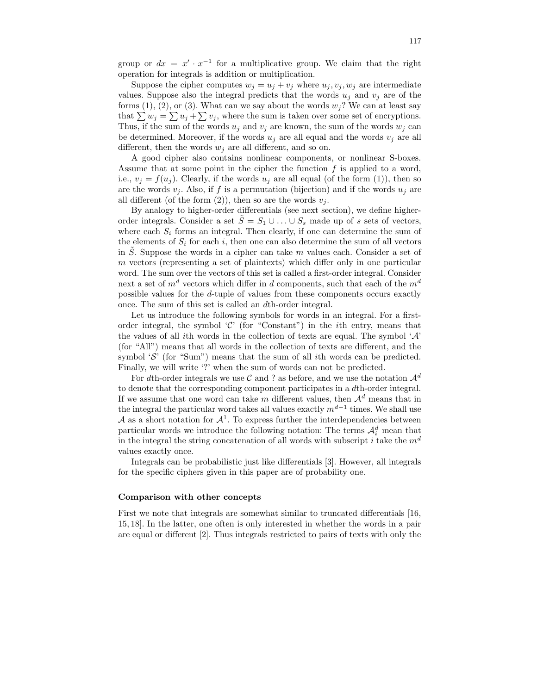group or  $dx = x' \cdot x^{-1}$  for a multiplicative group. We claim that the right operation for integrals is addition or multiplication.

Suppose the cipher computes  $w_i = u_j + v_j$  where  $u_j, v_j, w_j$  are intermediate values. Suppose also the integral predicts that the words  $u_j$  and  $v_j$  are of the forms (1), (2), or (3). What can we say about the words  $w_j$ ? We can at least say that  $\sum w_j = \sum u_j + \sum v_j$ , where the sum is taken over some set of encryptions. Thus, if the sum of the words  $u_j$  and  $v_j$  are known, the sum of the words  $w_j$  can be determined. Moreover, if the words  $u_j$  are all equal and the words  $v_j$  are all different, then the words  $w_i$  are all different, and so on.

A good cipher also contains nonlinear components, or nonlinear S-boxes. Assume that at some point in the cipher the function  $f$  is applied to a word, i.e.,  $v_j = f(u_j)$ . Clearly, if the words  $u_j$  are all equal (of the form (1)), then so are the words  $v_i$ . Also, if f is a permutation (bijection) and if the words  $u_i$  are all different (of the form  $(2)$ ), then so are the words  $v_i$ .

By analogy to higher-order differentials (see next section), we define higherorder integrals. Consider a set  $\tilde{S} = S_1 \cup \ldots \cup S_s$  made up of s sets of vectors, where each  $S_i$  forms an integral. Then clearly, if one can determine the sum of the elements of  $S_i$  for each i, then one can also determine the sum of all vectors in  $\hat{S}$ . Suppose the words in a cipher can take m values each. Consider a set of m vectors (representing a set of plaintexts) which differ only in one particular word. The sum over the vectors of this set is called a first-order integral. Consider next a set of  $m^d$  vectors which differ in d components, such that each of the  $m^d$ possible values for the d-tuple of values from these components occurs exactly once. The sum of this set is called an dth-order integral.

Let us introduce the following symbols for words in an integral. For a firstorder integral, the symbol  $\mathcal{C}'$  (for "Constant") in the *i*th entry, means that the values of all ith words in the collection of texts are equal. The symbol  $\mathcal{A}'$ (for "All") means that all words in the collection of texts are different, and the symbol ' $\mathcal{S}'$  (for "Sum") means that the sum of all *i*th words can be predicted. Finally, we will write '?' when the sum of words can not be predicted.

For dth-order integrals we use C and ? as before, and we use the notation  $\mathcal{A}^d$ to denote that the corresponding component participates in a dth-order integral. If we assume that one word can take m different values, then  $\mathcal{A}^d$  means that in the integral the particular word takes all values exactly  $m^{d-1}$  times. We shall use  $A$  as a short notation for  $A^1$ . To express further the interdependencies between particular words we introduce the following notation: The terms  $\mathcal{A}_i^d$  mean that in the integral the string concatenation of all words with subscript i take the  $m<sup>d</sup>$ values exactly once.

Integrals can be probabilistic just like differentials [3]. However, all integrals for the specific ciphers given in this paper are of probability one.

#### Comparison with other concepts

First we note that integrals are somewhat similar to truncated differentials [16, 15, 18]. In the latter, one often is only interested in whether the words in a pair are equal or different [2]. Thus integrals restricted to pairs of texts with only the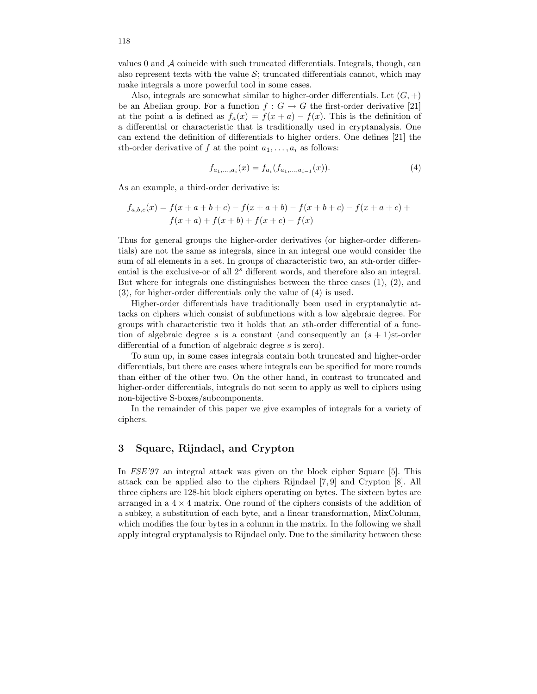values 0 and  $A$  coincide with such truncated differentials. Integrals, though, can also represent texts with the value  $S$ ; truncated differentials cannot, which may make integrals a more powerful tool in some cases.

Also, integrals are somewhat similar to higher-order differentials. Let  $(G, +)$ be an Abelian group. For a function  $f : G \to G$  the first-order derivative [21] at the point a is defined as  $f_a(x) = f(x+a) - f(x)$ . This is the definition of a differential or characteristic that is traditionally used in cryptanalysis. One can extend the definition of differentials to higher orders. One defines [21] the *i*th-order derivative of f at the point  $a_1, \ldots, a_i$  as follows:

$$
f_{a_1,\ldots,a_i}(x) = f_{a_i}(f_{a_1,\ldots,a_{i-1}}(x)).
$$
\n(4)

As an example, a third-order derivative is:

$$
f_{a,b,c}(x) = f(x+a+b+c) - f(x+a+b) - f(x+b+c) - f(x+a+c) +f(x+a) + f(x+b) + f(x+c) - f(x)
$$

Thus for general groups the higher-order derivatives (or higher-order differentials) are not the same as integrals, since in an integral one would consider the sum of all elements in a set. In groups of characteristic two, an sth-order differential is the exclusive-or of all  $2<sup>s</sup>$  different words, and therefore also an integral. But where for integrals one distinguishes between the three cases (1), (2), and (3), for higher-order differentials only the value of (4) is used.

Higher-order differentials have traditionally been used in cryptanalytic attacks on ciphers which consist of subfunctions with a low algebraic degree. For groups with characteristic two it holds that an sth-order differential of a function of algebraic degree s is a constant (and consequently an  $(s + 1)$ st-order differential of a function of algebraic degree s is zero).

To sum up, in some cases integrals contain both truncated and higher-order differentials, but there are cases where integrals can be specified for more rounds than either of the other two. On the other hand, in contrast to truncated and higher-order differentials, integrals do not seem to apply as well to ciphers using non-bijective S-boxes/subcomponents.

In the remainder of this paper we give examples of integrals for a variety of ciphers.

# 3 Square, Rijndael, and Crypton

In FSE'97 an integral attack was given on the block cipher Square [5]. This attack can be applied also to the ciphers Rijndael [7, 9] and Crypton [8]. All three ciphers are 128-bit block ciphers operating on bytes. The sixteen bytes are arranged in a  $4 \times 4$  matrix. One round of the ciphers consists of the addition of a subkey, a substitution of each byte, and a linear transformation, MixColumn, which modifies the four bytes in a column in the matrix. In the following we shall apply integral cryptanalysis to Rijndael only. Due to the similarity between these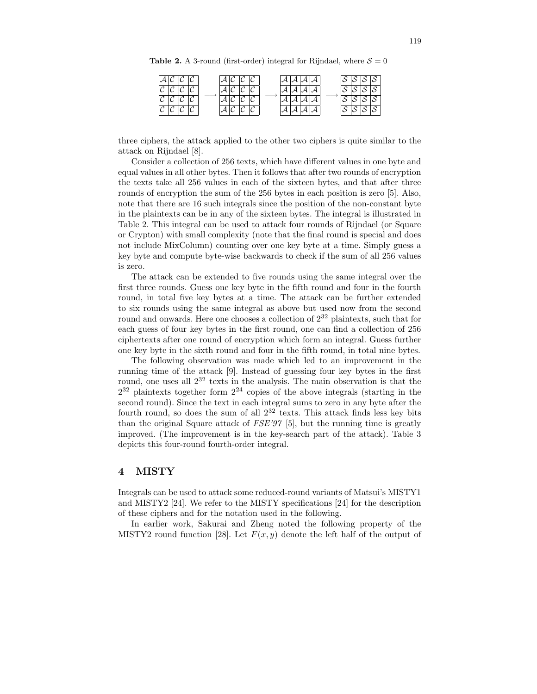| А               |            |  | ${\cal A}$ IC |  |  | $\mathcal{A}$ |  |   | .8      |  |
|-----------------|------------|--|---------------|--|--|---------------|--|---|---------|--|
| $\mathcal{C}^-$ |            |  |               |  |  |               |  |   |         |  |
| $\mathcal C$    |            |  |               |  |  |               |  |   |         |  |
| C               | $\sqrt{2}$ |  |               |  |  |               |  | ပ | $\circ$ |  |

**Table 2.** A 3-round (first-order) integral for Rijndael, where  $S = 0$ 

three ciphers, the attack applied to the other two ciphers is quite similar to the attack on Rijndael [8].

Consider a collection of 256 texts, which have different values in one byte and equal values in all other bytes. Then it follows that after two rounds of encryption the texts take all 256 values in each of the sixteen bytes, and that after three rounds of encryption the sum of the 256 bytes in each position is zero [5]. Also, note that there are 16 such integrals since the position of the non-constant byte in the plaintexts can be in any of the sixteen bytes. The integral is illustrated in Table 2. This integral can be used to attack four rounds of Rijndael (or Square or Crypton) with small complexity (note that the final round is special and does not include MixColumn) counting over one key byte at a time. Simply guess a key byte and compute byte-wise backwards to check if the sum of all 256 values is zero.

The attack can be extended to five rounds using the same integral over the first three rounds. Guess one key byte in the fifth round and four in the fourth round, in total five key bytes at a time. The attack can be further extended to six rounds using the same integral as above but used now from the second round and onwards. Here one chooses a collection of  $2^{32}$  plaintexts, such that for each guess of four key bytes in the first round, one can find a collection of 256 ciphertexts after one round of encryption which form an integral. Guess further one key byte in the sixth round and four in the fifth round, in total nine bytes.

The following observation was made which led to an improvement in the running time of the attack [9]. Instead of guessing four key bytes in the first round, one uses all  $2^{32}$  texts in the analysis. The main observation is that the  $2^{32}$  plaintexts together form  $2^{24}$  copies of the above integrals (starting in the second round). Since the text in each integral sums to zero in any byte after the fourth round, so does the sum of all  $2^{32}$  texts. This attack finds less key bits than the original Square attack of  $FSE'97$  [5], but the running time is greatly improved. (The improvement is in the key-search part of the attack). Table 3 depicts this four-round fourth-order integral.

#### 4 MISTY

Integrals can be used to attack some reduced-round variants of Matsui's MISTY1 and MISTY2 [24]. We refer to the MISTY specifications [24] for the description of these ciphers and for the notation used in the following.

In earlier work, Sakurai and Zheng noted the following property of the MISTY2 round function [28]. Let  $F(x, y)$  denote the left half of the output of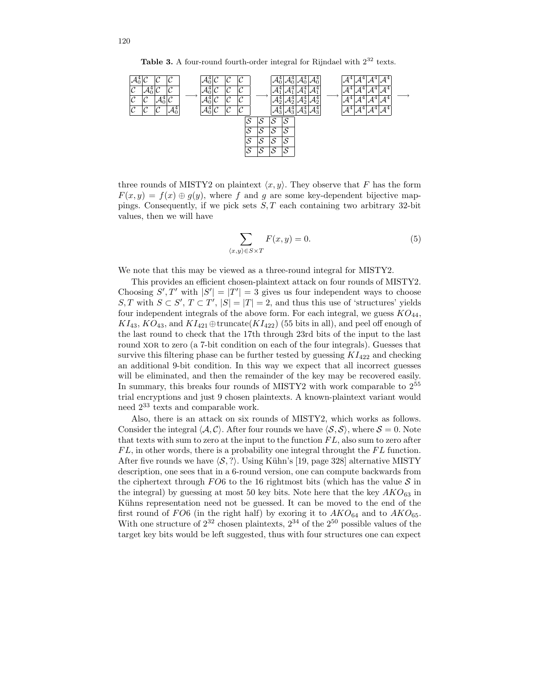Table 3. A four-round fourth-order integral for Rijndael with  $2^{32}$  texts.



three rounds of MISTY2 on plaintext  $\langle x, y \rangle$ . They observe that F has the form  $F(x, y) = f(x) \oplus g(y)$ , where f and g are some key-dependent bijective mappings. Consequently, if we pick sets  $S, T$  each containing two arbitrary 32-bit values, then we will have

$$
\sum_{\langle x,y\rangle \in S \times T} F(x,y) = 0.
$$
\n(5)

We note that this may be viewed as a three-round integral for MISTY2.

This provides an efficient chosen-plaintext attack on four rounds of MISTY2. Choosing  $S', T'$  with  $|S'| = |T'| = 3$  gives us four independent ways to choose S, T with  $S \subset S'$ ,  $T \subset T'$ ,  $|S| = |T| = 2$ , and thus this use of 'structures' yields four independent integrals of the above form. For each integral, we guess  $KO_{44}$ ,  $KI_{43}$ ,  $KO_{43}$ , and  $KI_{421} \oplus \text{truncated}(KI_{422})$  (55 bits in all), and peel off enough of the last round to check that the 17th through 23rd bits of the input to the last round XOR to zero (a 7-bit condition on each of the four integrals). Guesses that survive this filtering phase can be further tested by guessing  $KI_{422}$  and checking an additional 9-bit condition. In this way we expect that all incorrect guesses will be eliminated, and then the remainder of the key may be recovered easily. In summary, this breaks four rounds of MISTY2 with work comparable to  $2^{55}$ trial encryptions and just 9 chosen plaintexts. A known-plaintext variant would need 2 <sup>33</sup> texts and comparable work.

Also, there is an attack on six rounds of MISTY2, which works as follows. Consider the integral  $\langle A, C \rangle$ . After four rounds we have  $\langle S, S \rangle$ , where  $S = 0$ . Note that texts with sum to zero at the input to the function  $FL$ , also sum to zero after FL, in other words, there is a probability one integral throught the FL function. After five rounds we have  $\langle S, ? \rangle$ . Using Kühn's [19, page 328] alternative MISTY description, one sees that in a 6-round version, one can compute backwards from the ciphertext through  $FO6$  to the 16 rightmost bits (which has the value  $S$  in the integral) by guessing at most 50 key bits. Note here that the key  $AKO_{63}$  in Kühns representation need not be guessed. It can be moved to the end of the first round of FO6 (in the right half) by exoring it to  $AKO_{64}$  and to  $AKO_{65}$ . With one structure of  $2^{32}$  chosen plaintexts,  $2^{34}$  of the  $2^{50}$  possible values of the target key bits would be left suggested, thus with four structures one can expect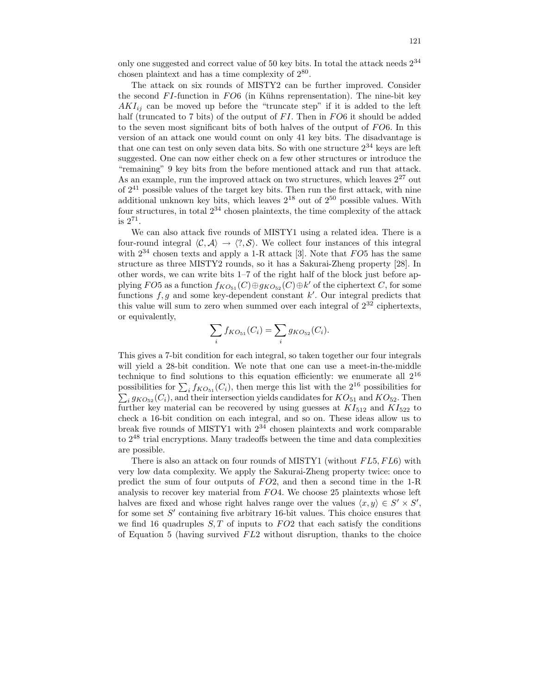only one suggested and correct value of 50 key bits. In total the attack needs  $2^{34}$ chosen plaintext and has a time complexity of  $2^{80}$ .

The attack on six rounds of MISTY2 can be further improved. Consider the second  $FI$ -function in  $FO6$  (in Kühns reprensentation). The nine-bit key  $AKI_{ij}$  can be moved up before the "truncate step" if it is added to the left half (truncated to 7 bits) of the output of  $FI$ . Then in  $FO6$  it should be added to the seven most significant bits of both halves of the output of FO6. In this version of an attack one would count on only 41 key bits. The disadvantage is that one can test on only seven data bits. So with one structure 2 <sup>34</sup> keys are left suggested. One can now either check on a few other structures or introduce the "remaining" 9 key bits from the before mentioned attack and run that attack. As an example, run the improved attack on two structures, which leaves  $2^{27}$  out of 2 <sup>41</sup> possible values of the target key bits. Then run the first attack, with nine additional unknown key bits, which leaves  $2^{18}$  out of  $2^{50}$  possible values. With four structures, in total  $2^{34}$  chosen plaintexts, the time complexity of the attack is  $2^{71}$ .

We can also attack five rounds of MISTY1 using a related idea. There is a four-round integral  $\langle \mathcal{C}, \mathcal{A} \rangle \rightarrow \langle ?, \mathcal{S} \rangle$ . We collect four instances of this integral with  $2^{34}$  chosen texts and apply a 1-R attack [3]. Note that  $FO5$  has the same structure as three MISTY2 rounds, so it has a Sakurai-Zheng property [28]. In other words, we can write bits 1–7 of the right half of the block just before applying  $FO5$  as a function  $f_{KO_{51}}(C) \oplus g_{KO_{52}}(C) \oplus k'$  of the ciphertext C, for some functions  $f, g$  and some key-dependent constant  $k'$ . Our integral predicts that this value will sum to zero when summed over each integral of  $2^{32}$  ciphertexts, or equivalently,

$$
\sum_{i} f_{KO_{51}}(C_i) = \sum_{i} g_{KO_{52}}(C_i).
$$

This gives a 7-bit condition for each integral, so taken together our four integrals will yield a 28-bit condition. We note that one can use a meet-in-the-middle technique to find solutions to this equation efficiently: we enumerate all  $2^{16}$ possibilities for  $\sum_i f_{KO_{51}}(C_i)$ , then merge this list with the  $2^{16}$  possibilities for  $\sum_i g_{KO_{52}}(C_i)$ , and their intersection yields candidates for  $KO_{51}$  and  $KO_{52}$ . Then further key material can be recovered by using guesses at  $KI_{512}$  and  $KI_{522}$  to check a 16-bit condition on each integral, and so on. These ideas allow us to break five rounds of MISTY1 with  $2^{34}$  chosen plaintexts and work comparable to  $2^{48}$  trial encryptions. Many tradeoffs between the time and data complexities are possible.

There is also an attack on four rounds of MISTY1 (without FL5, FL6) with very low data complexity. We apply the Sakurai-Zheng property twice: once to predict the sum of four outputs of FO2, and then a second time in the 1-R analysis to recover key material from FO4. We choose 25 plaintexts whose left halves are fixed and whose right halves range over the values  $\langle x, y \rangle \in S' \times S'$ , for some set  $S'$  containing five arbitrary 16-bit values. This choice ensures that we find 16 quadruples  $S, T$  of inputs to  $FO2$  that each satisfy the conditions of Equation 5 (having survived FL2 without disruption, thanks to the choice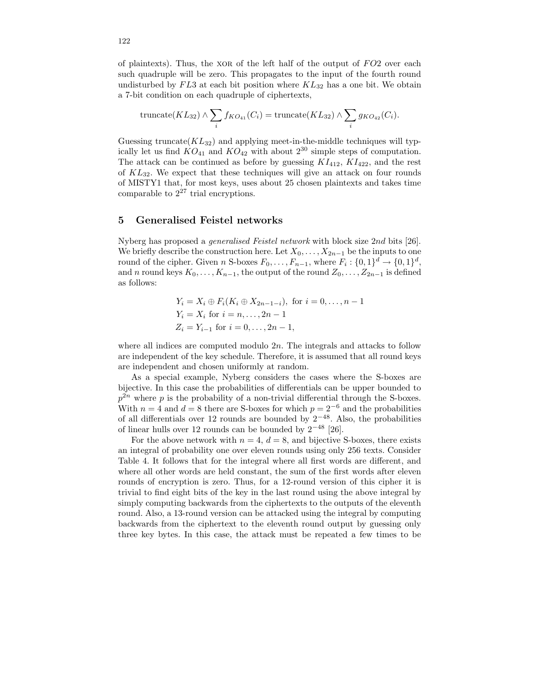of plaintexts). Thus, the XOR of the left half of the output of  $FO2$  over each such quadruple will be zero. This propagates to the input of the fourth round undisturbed by  $FL3$  at each bit position where  $KL_{32}$  has a one bit. We obtain a 7-bit condition on each quadruple of ciphertexts,

truncated
$$
(KL_{32}) \wedge \sum_i f_{KO_{41}}(C_i) = \text{truncated}(KL_{32}) \wedge \sum_i g_{KO_{42}}(C_i).
$$

Guessing truncate  $(KL_{32})$  and applying meet-in-the-middle techniques will typically let us find  $KO_{41}$  and  $KO_{42}$  with about  $2^{30}$  simple steps of computation. The attack can be continued as before by guessing  $KI_{412}$ ,  $KI_{422}$ , and the rest of  $KL_{32}$ . We expect that these techniques will give an attack on four rounds of MISTY1 that, for most keys, uses about 25 chosen plaintexts and takes time comparable to  $2^{27}$  trial encryptions.

#### 5 Generalised Feistel networks

Nyberg has proposed a generalised Feistel network with block size 2nd bits [26]. We briefly describe the construction here. Let  $X_0, \ldots, X_{2n-1}$  be the inputs to one round of the cipher. Given n S-boxes  $F_0, \ldots, F_{n-1}$ , where  $F_i: \{0,1\}^d \to \{0,1\}^d$ , and n round keys  $K_0, \ldots, K_{n-1}$ , the output of the round  $Z_0, \ldots, Z_{2n-1}$  is defined as follows:

$$
Y_i = X_i \oplus F_i(K_i \oplus X_{2n-1-i}), \text{ for } i = 0, ..., n-1
$$
  
\n
$$
Y_i = X_i \text{ for } i = n, ..., 2n-1
$$
  
\n
$$
Z_i = Y_{i-1} \text{ for } i = 0, ..., 2n-1,
$$

where all indices are computed modulo  $2n$ . The integrals and attacks to follow are independent of the key schedule. Therefore, it is assumed that all round keys are independent and chosen uniformly at random.

As a special example, Nyberg considers the cases where the S-boxes are bijective. In this case the probabilities of differentials can be upper bounded to  $p^{2n}$  where p is the probability of a non-trivial differential through the S-boxes. With  $n = 4$  and  $d = 8$  there are S-boxes for which  $p = 2^{-6}$  and the probabilities of all differentials over 12 rounds are bounded by  $2^{-48}$ . Also, the probabilities of linear hulls over 12 rounds can be bounded by  $2^{-48}$  [26].

For the above network with  $n = 4$ ,  $d = 8$ , and bijective S-boxes, there exists an integral of probability one over eleven rounds using only 256 texts. Consider Table 4. It follows that for the integral where all first words are different, and where all other words are held constant, the sum of the first words after eleven rounds of encryption is zero. Thus, for a 12-round version of this cipher it is trivial to find eight bits of the key in the last round using the above integral by simply computing backwards from the ciphertexts to the outputs of the eleventh round. Also, a 13-round version can be attacked using the integral by computing backwards from the ciphertext to the eleventh round output by guessing only three key bytes. In this case, the attack must be repeated a few times to be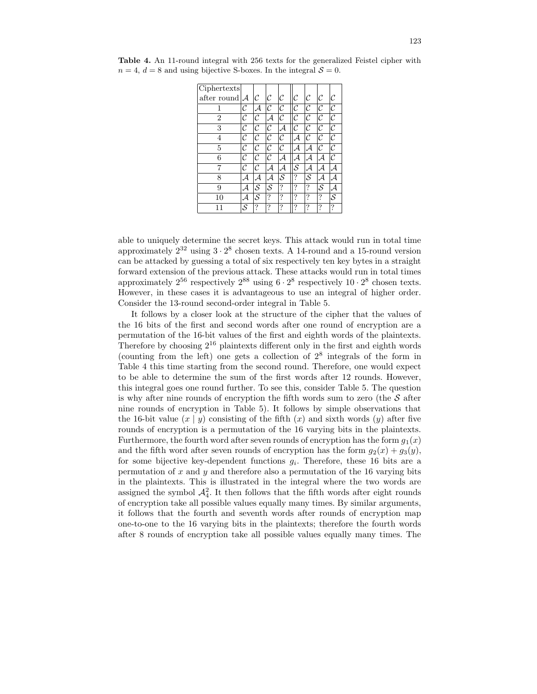| Ciphertexts |                  |                   |              |                   |               |                   |                   |                   |
|-------------|------------------|-------------------|--------------|-------------------|---------------|-------------------|-------------------|-------------------|
| after round | А                | $\mathcal C$      | C            | C                 | C             | C                 | C                 | C                 |
| 1           | C                | А                 | C            | C                 | C             | $\mathcal{C}_{0}$ | $\mathcal C$      | $\mathcal C$      |
| 2           | C                | $\mathcal C$      | A            | C                 | $\mathcal{C}$ | $\mathcal{C}$     | $\mathcal C$      | $\mathcal C$      |
| 3           | C                | $\mathcal C$      | C            | .A                | C             | $\mathcal{C}$     | $\mathcal{C}_{0}$ | $\mathcal C$      |
| 4           | C                | $\mathcal C$      | C            | C                 | А             | C                 | $\mathcal C$      | C                 |
| 5           | C                | $\mathcal C$      | C            | C                 | А             | .A                | C                 | $\mathcal{C}_{0}$ |
| 6           | C                | $\mathcal{C}_{0}$ | $\mathcal C$ | А                 | А             | А                 | А                 | $\mathcal C$      |
| 7           | C                | $\mathcal{C}$     | А            | А                 | S             | А                 | А                 | А                 |
| 8           | А                | А                 | ${\cal A}$   | $\mathcal{S}_{0}$ | ?             | S                 | А                 | А                 |
| 9           | $\boldsymbol{A}$ | S                 | S            | ?                 | ?             | ?                 | S                 | А                 |
| 10          | . A              | S                 | ?            | ?                 | ?             | ?                 | ?                 | S                 |
| 11          | S                | ?                 | ?            | ?                 | ?             | ?                 | ?                 | 7                 |

Table 4. An 11-round integral with 256 texts for the generalized Feistel cipher with  $n = 4, d = 8$  and using bijective S-boxes. In the integral  $S = 0$ .

able to uniquely determine the secret keys. This attack would run in total time approximately  $2^{32}$  using  $3 \cdot 2^8$  chosen texts. A 14-round and a 15-round version can be attacked by guessing a total of six respectively ten key bytes in a straight forward extension of the previous attack. These attacks would run in total times approximately  $2^{56}$  respectively  $2^{88}$  using  $6 \cdot 2^8$  respectively  $10 \cdot 2^8$  chosen texts. However, in these cases it is advantageous to use an integral of higher order. Consider the 13-round second-order integral in Table 5.

It follows by a closer look at the structure of the cipher that the values of the 16 bits of the first and second words after one round of encryption are a permutation of the 16-bit values of the first and eighth words of the plaintexts. Therefore by choosing  $2^{16}$  plaintexts different only in the first and eighth words (counting from the left) one gets a collection of  $2<sup>8</sup>$  integrals of the form in Table 4 this time starting from the second round. Therefore, one would expect to be able to determine the sum of the first words after 12 rounds. However, this integral goes one round further. To see this, consider Table 5. The question is why after nine rounds of encryption the fifth words sum to zero (the  $S$  after nine rounds of encryption in Table 5). It follows by simple observations that the 16-bit value  $(x | y)$  consisting of the fifth  $(x)$  and sixth words  $(y)$  after five rounds of encryption is a permutation of the 16 varying bits in the plaintexts. Furthermore, the fourth word after seven rounds of encryption has the form  $q_1(x)$ and the fifth word after seven rounds of encryption has the form  $q_2(x) + q_3(y)$ , for some bijective key-dependent functions  $g_i$ . Therefore, these 16 bits are a permutation of  $x$  and  $y$  and therefore also a permutation of the 16 varying bits in the plaintexts. This is illustrated in the integral where the two words are assigned the symbol  $\mathcal{A}_4^2$ . It then follows that the fifth words after eight rounds of encryption take all possible values equally many times. By similar arguments, it follows that the fourth and seventh words after rounds of encryption map one-to-one to the 16 varying bits in the plaintexts; therefore the fourth words after 8 rounds of encryption take all possible values equally many times. The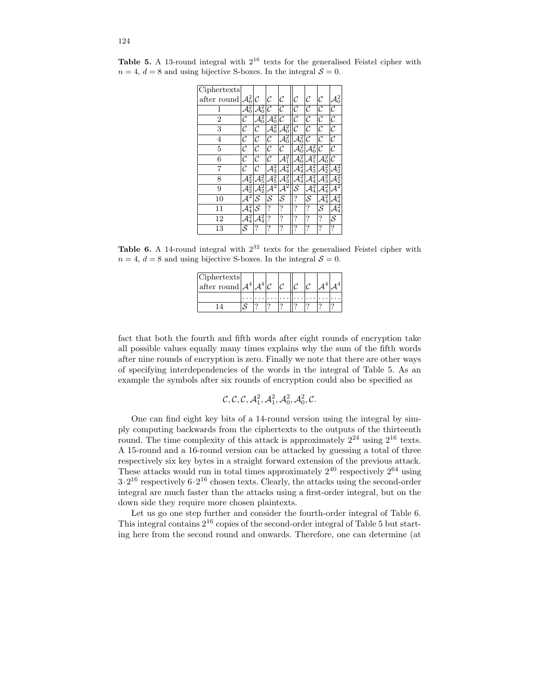| Ciphertexts    |                                |                           |                                |                    |                    |                   |                    |                           |
|----------------|--------------------------------|---------------------------|--------------------------------|--------------------|--------------------|-------------------|--------------------|---------------------------|
| after round    | $\mathcal{A}^2_0$              | C                         | C                              | C                  | C                  | C                 | C                  | $\mathcal{A}^2_0$         |
| 1              | $\mathcal A$                   |                           | C                              | C                  | C                  | C                 | C                  | $\mathcal{C}_{0}$         |
| $\overline{2}$ | C                              |                           |                                | C                  | C                  | C                 | C                  | $\mathcal{C}_{0}$         |
| 3              | $\mathcal{C}_{0}^{0}$          | C                         | $\frac{2}{0}$<br>$\mathcal{A}$ |                    | C                  | C                 | C                  | C                         |
| 4              | C                              | C                         | C                              |                    |                    | C                 | C                  | C                         |
| 5              | $\mathcal C$                   | C                         | C                              | C                  | Δ                  | $\frac{2}{0}$     | C                  | C                         |
| 6              | C                              | C                         | C                              | $\frac{2}{1}$<br>Д |                    | $\frac{2}{1}$     | $\frac{2}{0}$      | C                         |
| 7              | C                              | C                         | $\mathcal{A}^2_3$              |                    |                    | $\frac{2}{3}$     | $\frac{2}{2}$<br>Д |                           |
| 8              | $\frac{2}{2}$<br>$\mathcal{A}$ | $\mathsf{I}_5^2$<br>Д     | $\mathcal{A}_5^2$              | $\frac{2}{3}$<br>Д | $\frac{2}{4}$<br>Д | $\frac{2}{4}$     | $\frac{2}{3}$<br>Δ |                           |
| 9              | $\frac{2}{2}$<br>Α             | $\overline{{\cal A}_2^2}$ | $\overline{2}$<br>А            | 2<br>А             | S                  | $\mathcal{A}_4^2$ |                    |                           |
| 10             | 2<br>Δ                         | S                         | S                              | S                  | ?                  | S                 | $\frac{2}{4}$<br>А |                           |
| 11             | $\frac{2}{4}$                  | S                         | ?                              | ?                  | ?                  | ?                 | S                  | $\overline{{\cal A}_4^2}$ |
| 12             | Д                              |                           | ?                              | ?                  | ?                  | ?                 | ?                  | S                         |
| 13             | S                              | ?                         | ?                              | ?                  | ?                  | ?                 | ?                  | ?                         |

Table 5. A 13-round integral with  $2^{16}$  texts for the generalised Feistel cipher with  $n = 4, d = 8$  and using bijective S-boxes. In the integral  $S = 0$ .

Table 6. A 14-round integral with  $2^{32}$  texts for the generalised Feistel cipher with  $n = 4, d = 8$  and using bijective S-boxes. In the integral  $S = 0$ .

| Ciphertexts<br>after round $\mathcal{A}^4$ |  |  |  |  |
|--------------------------------------------|--|--|--|--|
|                                            |  |  |  |  |
|                                            |  |  |  |  |

fact that both the fourth and fifth words after eight rounds of encryption take all possible values equally many times explains why the sum of the fifth words after nine rounds of encryption is zero. Finally we note that there are other ways of specifying interdependencies of the words in the integral of Table 5. As an example the symbols after six rounds of encryption could also be specified as

$$
\mathcal{C}, \mathcal{C}, \mathcal{C}, \mathcal{A}_1^2, \mathcal{A}_1^2, \mathcal{A}_0^2, \mathcal{A}_0^2, \mathcal{C}.
$$

One can find eight key bits of a 14-round version using the integral by simply computing backwards from the ciphertexts to the outputs of the thirteenth round. The time complexity of this attack is approximately  $2^{24}$  using  $2^{16}$  texts. A 15-round and a 16-round version can be attacked by guessing a total of three respectively six key bytes in a straight forward extension of the previous attack. These attacks would run in total times approximately  $2^{40}$  respectively  $2^{64}$  using  $3\cdot 2^{16}$  respectively  $6\cdot 2^{16}$  chosen texts. Clearly, the attacks using the second-order integral are much faster than the attacks using a first-order integral, but on the down side they require more chosen plaintexts.

Let us go one step further and consider the fourth-order integral of Table 6. This integral contains  $2^{16}$  copies of the second-order integral of Table 5 but starting here from the second round and onwards. Therefore, one can determine (at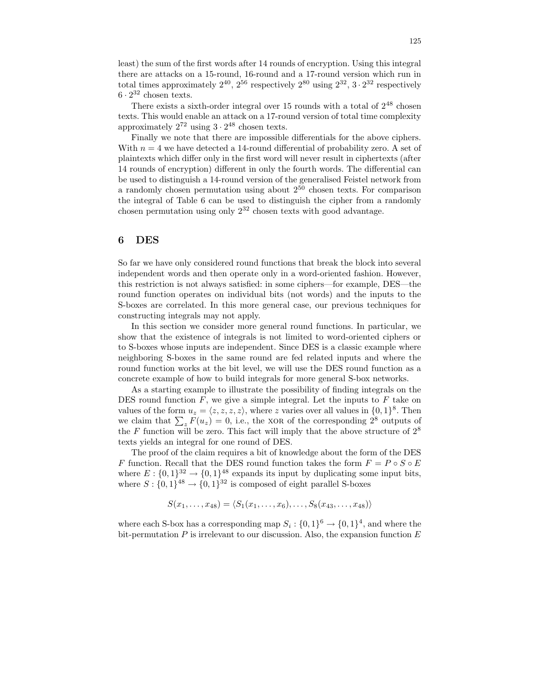least) the sum of the first words after 14 rounds of encryption. Using this integral there are attacks on a 15-round, 16-round and a 17-round version which run in total times approximately  $2^{40}$ ,  $2^{56}$  respectively  $2^{80}$  using  $2^{32}$ ,  $3 \cdot 2^{32}$  respectively  $6 \cdot 2^{32}$  chosen texts.

There exists a sixth-order integral over 15 rounds with a total of  $2^{48}$  chosen texts. This would enable an attack on a 17-round version of total time complexity approximately  $2^{72}$  using  $3 \cdot 2^{48}$  chosen texts.

Finally we note that there are impossible differentials for the above ciphers. With  $n = 4$  we have detected a 14-round differential of probability zero. A set of plaintexts which differ only in the first word will never result in ciphertexts (after 14 rounds of encryption) different in only the fourth words. The differential can be used to distinguish a 14-round version of the generalised Feistel network from a randomly chosen permutation using about  $2^{50}$  chosen texts. For comparison the integral of Table 6 can be used to distinguish the cipher from a randomly chosen permutation using only 2 <sup>32</sup> chosen texts with good advantage.

### 6 DES

So far we have only considered round functions that break the block into several independent words and then operate only in a word-oriented fashion. However, this restriction is not always satisfied: in some ciphers—for example, DES—the round function operates on individual bits (not words) and the inputs to the S-boxes are correlated. In this more general case, our previous techniques for constructing integrals may not apply.

In this section we consider more general round functions. In particular, we show that the existence of integrals is not limited to word-oriented ciphers or to S-boxes whose inputs are independent. Since DES is a classic example where neighboring S-boxes in the same round are fed related inputs and where the round function works at the bit level, we will use the DES round function as a concrete example of how to build integrals for more general S-box networks.

As a starting example to illustrate the possibility of finding integrals on the DES round function  $F$ , we give a simple integral. Let the inputs to  $F$  take on values of the form  $u_z = \langle z, z, z, z \rangle$ , where z varies over all values in  $\{0, 1\}^8$ . Then we claim that  $\sum_z F(u_z) = 0$ , i.e., the XOR of the corresponding  $2^8$  outputs of the F function will be zero. This fact will imply that the above structure of  $2^8$ texts yields an integral for one round of DES.

The proof of the claim requires a bit of knowledge about the form of the DES F function. Recall that the DES round function takes the form  $F = P \circ S \circ E$ where  $E: \{0,1\}^{32} \to \{0,1\}^{48}$  expands its input by duplicating some input bits, where  $S: \{0,1\}^{48} \to \{0,1\}^{32}$  is composed of eight parallel S-boxes

$$
S(x_1,\ldots,x_{48})=\langle S_1(x_1,\ldots,x_6),\ldots,S_8(x_{43},\ldots,x_{48})\rangle
$$

where each S-box has a corresponding map  $S_i: \{0,1\}^6 \to \{0,1\}^4$ , and where the bit-permutation  $P$  is irrelevant to our discussion. Also, the expansion function  $E$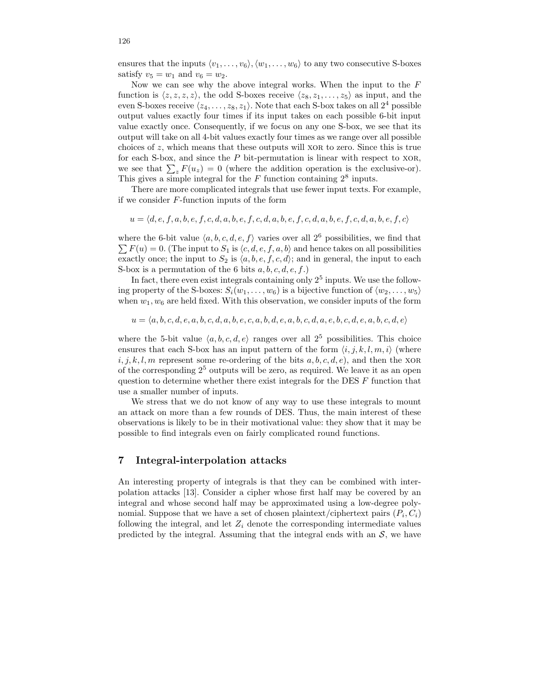ensures that the inputs  $\langle v_1, \ldots, v_6 \rangle, \langle w_1, \ldots, w_6 \rangle$  to any two consecutive S-boxes satisfy  $v_5 = w_1$  and  $v_6 = w_2$ .

Now we can see why the above integral works. When the input to the  $F$ function is  $\langle z, z, z, z \rangle$ , the odd S-boxes receive  $\langle z_8, z_1, \ldots, z_5 \rangle$  as input, and the even S-boxes receive  $\langle z_4, \ldots, z_8, z_1 \rangle$ . Note that each S-box takes on all  $2^4$  possible output values exactly four times if its input takes on each possible 6-bit input value exactly once. Consequently, if we focus on any one S-box, we see that its output will take on all 4-bit values exactly four times as we range over all possible choices of  $z$ , which means that these outputs will xore to zero. Since this is true for each S-box, and since the  $P$  bit-permutation is linear with respect to  $XOR$ , we see that  $\sum_{z} F(u_z) = 0$  (where the addition operation is the exclusive-or). This gives a simple integral for the F function containing  $2^8$  inputs.

There are more complicated integrals that use fewer input texts. For example, if we consider F-function inputs of the form

$$
u = \langle d,e,f,a,b,e,f,c,d,a,b,e,f,c,d,a,b,e,f,c,d,a,b,b,e,f,c \rangle
$$

where the 6-bit value  $\langle a, b, c, d, e, f \rangle$  varies over all  $2^6$  possibilities, we find that  $\sum F(u) = 0$ . (The input to  $S_1$  is  $\langle c, d, e, f, a, b \rangle$  and hence takes on all possibilities exactly once; the input to  $S_2$  is  $\langle a, b, e, f, c, d \rangle$ ; and in general, the input to each S-box is a permutation of the 6 bits  $a, b, c, d, e, f$ .

In fact, there even exist integrals containing only  $2<sup>5</sup>$  inputs. We use the following property of the S-boxes:  $S_i(w_1, \ldots, w_6)$  is a bijective function of  $\langle w_2, \ldots, w_5 \rangle$ when  $w_1, w_6$  are held fixed. With this observation, we consider inputs of the form

 $u = \langle a, b, c, d, e, a, b, c, d, a, b, e, c, a, b, d, e, a, b, c, d, a, e, b, c, d, e, a, b, c, d, e \rangle$ 

where the 5-bit value  $\langle a, b, c, d, e \rangle$  ranges over all  $2^5$  possibilities. This choice ensures that each S-box has an input pattern of the form  $\langle i, j, k, l, m, i \rangle$  (where  $i, j, k, l, m$  represent some re-ordering of the bits  $a, b, c, d, e$ , and then the XOR of the corresponding 2 <sup>5</sup> outputs will be zero, as required. We leave it as an open question to determine whether there exist integrals for the DES  $F$  function that use a smaller number of inputs.

We stress that we do not know of any way to use these integrals to mount an attack on more than a few rounds of DES. Thus, the main interest of these observations is likely to be in their motivational value: they show that it may be possible to find integrals even on fairly complicated round functions.

### 7 Integral-interpolation attacks

An interesting property of integrals is that they can be combined with interpolation attacks [13]. Consider a cipher whose first half may be covered by an integral and whose second half may be approximated using a low-degree polynomial. Suppose that we have a set of chosen plaintext/ciphertext pairs  $(P_i, C_i)$ following the integral, and let  $Z_i$  denote the corresponding intermediate values predicted by the integral. Assuming that the integral ends with an  $S$ , we have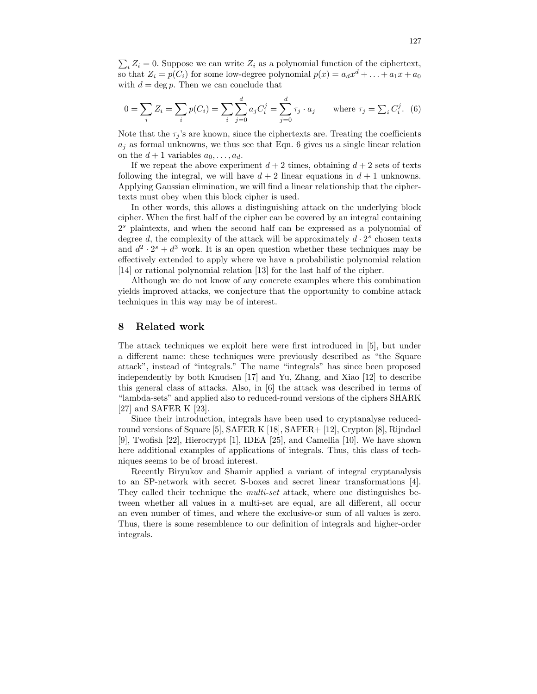$\sum_i Z_i = 0$ . Suppose we can write  $Z_i$  as a polynomial function of the ciphertext, so that  $Z_i = p(C_i)$  for some low-degree polynomial  $p(x) = a_d x^d + \ldots + a_1 x + a_0$ with  $d = \deg p$ . Then we can conclude that

$$
0 = \sum_{i} Z_i = \sum_{i} p(C_i) = \sum_{i} \sum_{j=0}^{d} a_j C_i^j = \sum_{j=0}^{d} \tau_j \cdot a_j \quad \text{where } \tau_j = \sum_{i} C_i^j. \tag{6}
$$

Note that the  $\tau_j$ 's are known, since the ciphertexts are. Treating the coefficients  $a_j$  as formal unknowns, we thus see that Eqn. 6 gives us a single linear relation on the  $d+1$  variables  $a_0, \ldots, a_d$ .

If we repeat the above experiment  $d+2$  times, obtaining  $d+2$  sets of texts following the integral, we will have  $d + 2$  linear equations in  $d + 1$  unknowns. Applying Gaussian elimination, we will find a linear relationship that the ciphertexts must obey when this block cipher is used.

In other words, this allows a distinguishing attack on the underlying block cipher. When the first half of the cipher can be covered by an integral containing 2 <sup>s</sup> plaintexts, and when the second half can be expressed as a polynomial of degree d, the complexity of the attack will be approximately  $d \cdot 2^s$  chosen texts and  $d^2 \cdot 2^s + d^3$  work. It is an open question whether these techniques may be effectively extended to apply where we have a probabilistic polynomial relation [14] or rational polynomial relation [13] for the last half of the cipher.

Although we do not know of any concrete examples where this combination yields improved attacks, we conjecture that the opportunity to combine attack techniques in this way may be of interest.

#### 8 Related work

The attack techniques we exploit here were first introduced in [5], but under a different name: these techniques were previously described as "the Square attack", instead of "integrals." The name "integrals" has since been proposed independently by both Knudsen [17] and Yu, Zhang, and Xiao [12] to describe this general class of attacks. Also, in [6] the attack was described in terms of "lambda-sets" and applied also to reduced-round versions of the ciphers SHARK [27] and SAFER K [23].

Since their introduction, integrals have been used to cryptanalyse reducedround versions of Square [5], SAFER K [18], SAFER+ [12], Crypton [8], Rijndael [9], Twofish [22], Hierocrypt [1], IDEA [25], and Camellia [10]. We have shown here additional examples of applications of integrals. Thus, this class of techniques seems to be of broad interest.

Recently Biryukov and Shamir applied a variant of integral cryptanalysis to an SP-network with secret S-boxes and secret linear transformations [4]. They called their technique the multi-set attack, where one distinguishes between whether all values in a multi-set are equal, are all different, all occur an even number of times, and where the exclusive-or sum of all values is zero. Thus, there is some resemblence to our definition of integrals and higher-order integrals.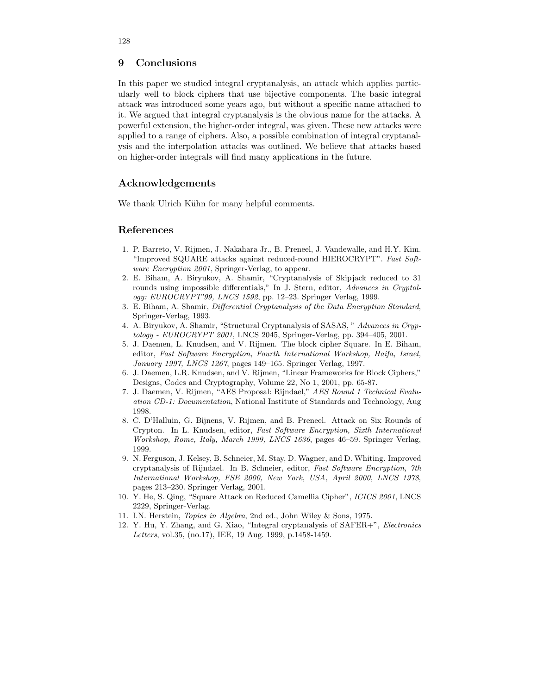# 9 Conclusions

In this paper we studied integral cryptanalysis, an attack which applies particularly well to block ciphers that use bijective components. The basic integral attack was introduced some years ago, but without a specific name attached to it. We argued that integral cryptanalysis is the obvious name for the attacks. A powerful extension, the higher-order integral, was given. These new attacks were applied to a range of ciphers. Also, a possible combination of integral cryptanalysis and the interpolation attacks was outlined. We believe that attacks based on higher-order integrals will find many applications in the future.

# Acknowledgements

We thank Ulrich Kühn for many helpful comments.

#### References

- 1. P. Barreto, V. Rijmen, J. Nakahara Jr., B. Preneel, J. Vandewalle, and H.Y. Kim. "Improved SQUARE attacks against reduced-round HIEROCRYPT". Fast Software Encryption 2001, Springer-Verlag, to appear.
- 2. E. Biham, A. Biryukov, A. Shamir, "Cryptanalysis of Skipjack reduced to 31 rounds using impossible differentials," In J. Stern, editor, Advances in Cryptology: EUROCRYPT'99, LNCS 1592, pp. 12–23. Springer Verlag, 1999.
- 3. E. Biham, A. Shamir, Differential Cryptanalysis of the Data Encryption Standard, Springer-Verlag, 1993.
- 4. A. Biryukov, A. Shamir, "Structural Cryptanalysis of SASAS, " Advances in Cryptology - EUROCRYPT 2001, LNCS 2045, Springer-Verlag, pp. 394–405, 2001.
- 5. J. Daemen, L. Knudsen, and V. Rijmen. The block cipher Square. In E. Biham, editor, Fast Software Encryption, Fourth International Workshop, Haifa, Israel, January 1997, LNCS 1267, pages 149–165. Springer Verlag, 1997.
- 6. J. Daemen, L.R. Knudsen, and V. Rijmen, "Linear Frameworks for Block Ciphers," Designs, Codes and Cryptography, Volume 22, No 1, 2001, pp. 65-87.
- 7. J. Daemen, V. Rijmen, "AES Proposal: Rijndael," AES Round 1 Technical Evaluation CD-1: Documentation, National Institute of Standards and Technology, Aug 1998.
- 8. C. D'Halluin, G. Bijnens, V. Rijmen, and B. Preneel. Attack on Six Rounds of Crypton. In L. Knudsen, editor, Fast Software Encryption, Sixth International Workshop, Rome, Italy, March 1999, LNCS 1636, pages 46–59. Springer Verlag, 1999.
- 9. N. Ferguson, J. Kelsey, B. Schneier, M. Stay, D. Wagner, and D. Whiting. Improved cryptanalysis of Rijndael. In B. Schneier, editor, Fast Software Encryption, 7th International Workshop, FSE 2000, New York, USA, April 2000, LNCS 1978, pages 213–230. Springer Verlag, 2001.
- 10. Y. He, S. Qing, "Square Attack on Reduced Camellia Cipher", ICICS 2001, LNCS 2229, Springer-Verlag.
- 11. I.N. Herstein, Topics in Algebra, 2nd ed., John Wiley & Sons, 1975.
- 12. Y. Hu, Y. Zhang, and G. Xiao, "Integral cryptanalysis of SAFER+", Electronics Letters, vol.35, (no.17), IEE, 19 Aug. 1999, p.1458-1459.